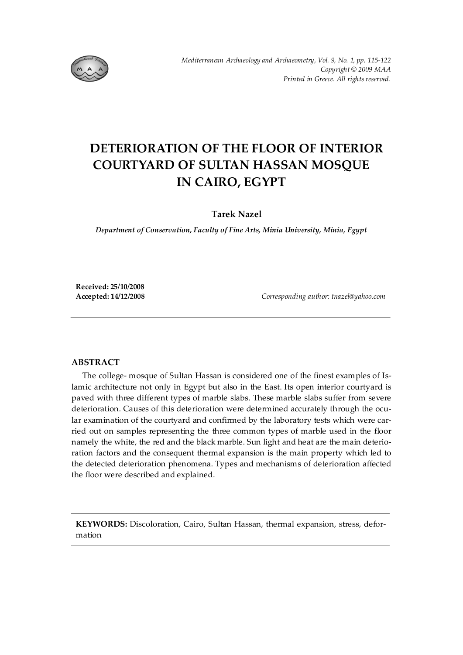

# **DETERIORATION OF THE FLOOR OF INTERIOR COURTYARD OF SULTAN HASSAN MOSQUE IN CAIRO, EGYPT**

**Tarek Nazel**

*Department of Conservation, Faculty of Fine Arts, Minia University, Minia, Egypt* 

**Received: 25/10/2008** 

**Accepted: 14/12/2008** *Corresponding author: tnazel@yahoo.com* 

## **ABSTRACT**

The college- mosque of Sultan Hassan is considered one of the finest examples of Islamic architecture not only in Egypt but also in the East. Its open interior courtyard is paved with three different types of marble slabs. These marble slabs suffer from severe deterioration. Causes of this deterioration were determined accurately through the ocular examination of the courtyard and confirmed by the laboratory tests which were carried out on samples representing the three common types of marble used in the floor namely the white, the red and the black marble. Sun light and heat are the main deterioration factors and the consequent thermal expansion is the main property which led to the detected deterioration phenomena. Types and mechanisms of deterioration affected the floor were described and explained.

**KEYWORDS:** Discoloration, Cairo, Sultan Hassan, thermal expansion, stress, deformation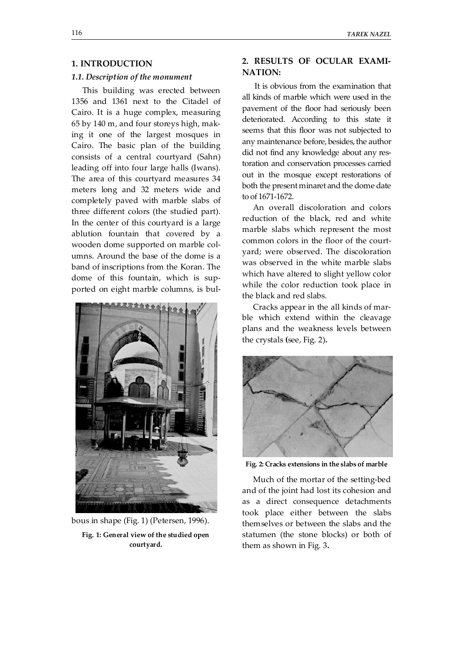## **1. INTRODUCTION**

#### *1.1. Description of the monument*

This building was erected between 1356 and 1361 next to the Citadel of Cairo. It is a huge complex, measuring 65 by 140 m, and four storeys high, making it one of the largest mosques in Cairo. The basic plan of the building consists of a central courtyard (Sahn) leading off into four large halls (Iwans). The area of this courtyard measures 34 meters long and 32 meters wide and completely paved with marble slabs of three different colors (the studied part). In the center of this courtyard is a large ablution fountain that covered by a wooden dome supported on marble columns. Around the base of the dome is a band of inscriptions from the Koran. The dome of this fountain, which is supported on eight marble columns, is bul-



bous in shape (Fig. 1) (Petersen, 1996).

**Fig. 1: General view of the studied open courtyard.** 

## **2. RESULTS OF OCULAR EXAMI-NATION:**

It is obvious from the examination that all kinds of marble which were used in the pavement of the floor had seriously been deteriorated. According to this state it seems that this floor was not subjected to any maintenance before, besides, the author did not find any knowledge about any restoration and conservation processes carried out in the mosque except restorations of both the present minaret and the dome date to of 1671-1672.

An overall discoloration and colors reduction of the black, red and white marble slabs which represent the most common colors in the floor of the courtyard; were observed. The discoloration was observed in the white marble slabs which have altered to slight yellow color while the color reduction took place in the black and red slabs.

Cracks appear in the all kinds of marble which extend within the cleavage plans and the weakness levels between the crystals **(**see, Fig. 2)**.** 



**Fig. 2: Cracks extensions in the slabs of marble** 

Much of the mortar of the setting-bed and of the joint had lost its cohesion and as a direct consequence detachments took place either between the slabs themselves or between the slabs and the statumen (the stone blocks) or both of them as shown in Fig. 3**.**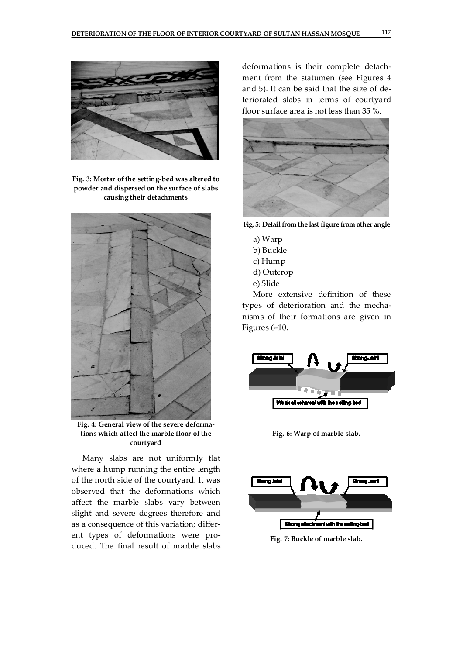

**Fig. 3: Mortar of the setting-bed was altered to powder and dispersed on the surface of slabs causing their detachments** 



**Fig. 4: General view of the severe deformations which affect the marble floor of the courtyard** 

Many slabs are not uniformly flat where a hump running the entire length of the north side of the courtyard. It was observed that the deformations which affect the marble slabs vary between slight and severe degrees therefore and as a consequence of this variation; different types of deformations were produced. The final result of marble slabs deformations is their complete detachment from the statumen (see Figures 4 and 5). It can be said that the size of deteriorated slabs in terms of courtyard floor surface area is not less than 35 %.



**Fig. 5: Detail from the last figure from other angle** 

- a) Warp
- b) Buckle
- c) Hump
- d) Outcrop
- e) Slide

More extensive definition of these types of deterioration and the mechanisms of their formations are given in Figures 6-10.



**Fig. 6: Warp of marble slab.** 



**Fig. 7: Buckle of marble slab.**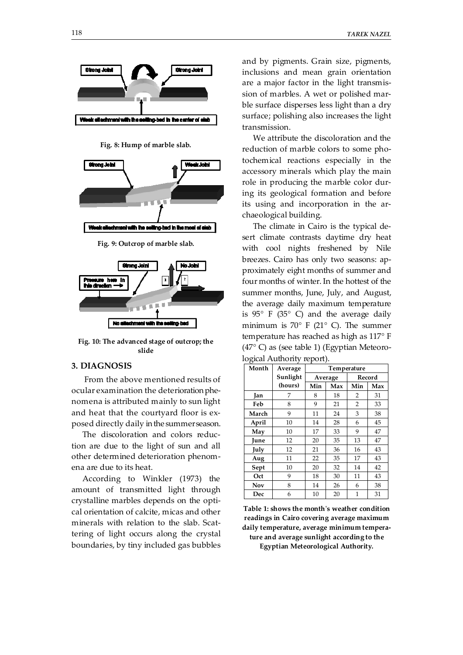





**Fig. 10: The advanced stage of outcrop; the slide** 

## **3. DIAGNOSIS**

 From the above mentioned results of ocular examination the deterioration phenomena is attributed mainly to sun light and heat that the courtyard floor is exposed directly daily in the summer season.

The discoloration and colors reduction are due to the light of sun and all other determined deterioration phenomena are due to its heat.

According to Winkler (1973) the amount of transmitted light through crystalline marbles depends on the optical orientation of calcite, micas and other minerals with relation to the slab. Scattering of light occurs along the crystal boundaries, by tiny included gas bubbles and by pigments. Grain size, pigments, inclusions and mean grain orientation are a major factor in the light transmission of marbles. A wet or polished marble surface disperses less light than a dry surface; polishing also increases the light transmission.

We attribute the discoloration and the reduction of marble colors to some photochemical reactions especially in the accessory minerals which play the main role in producing the marble color during its geological formation and before its using and incorporation in the archaeological building.

The climate in Cairo is the typical desert climate contrasts daytime dry heat with cool nights freshened by Nile breezes. Cairo has only two seasons: approximately eight months of summer and four months of winter. In the hottest of the summer months, June, July, and August, the average daily maximum temperature is  $95^{\circ}$  F (35 $^{\circ}$  C) and the average daily minimum is  $70^{\circ}$  F (21° C). The summer temperature has reached as high as 117° F (47° C) as (see table 1) (Egyptian Meteorological Authority report).

| Month      | Average  | Temperature |     |                |     |
|------------|----------|-------------|-----|----------------|-----|
|            | Sunlight | Average     |     | Record         |     |
|            | (hours)  | Min         | Max | Min            | Max |
| Jan        | 7        | 8           | 18  | 2              | 31  |
| Feb        | 8        | 9           | 21  | $\overline{2}$ | 33  |
| March      | 9        | 11          | 24  | 3              | 38  |
| April      | 10       | 14          | 28  | 6              | 45  |
| May        | 10       | 17          | 33  | 9              | 47  |
| June       | 12       | 20          | 35  | 13             | 47  |
| July       | 12       | 21          | 36  | 16             | 43  |
| Aug        | 11       | 22          | 35  | 17             | 43  |
| Sept       | 10       | 20          | 32  | 14             | 42  |
| Oct        | 9        | 18          | 30  | 11             | 43  |
| <b>Nov</b> | 8        | 14          | 26  | 6              | 38  |
| Dec        | 6        | 10          | 20  | 1              | 31  |

**Table 1: shows the month's weather condition readings in Cairo covering average maximum daily temperature, average minimum tempera-**

**ture and average sunlight according to the Egyptian Meteorological Authority.**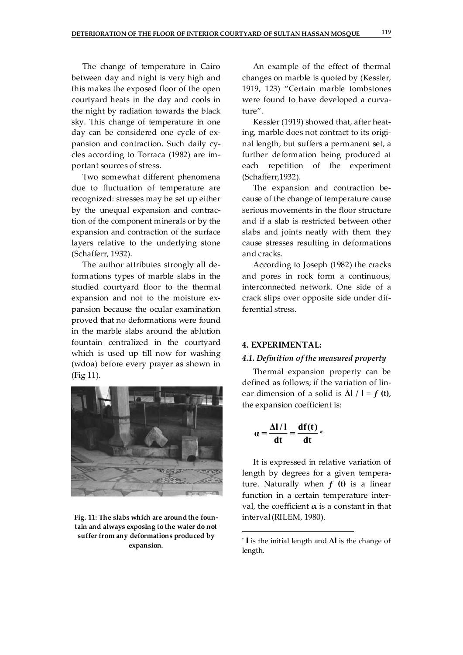The change of temperature in Cairo between day and night is very high and this makes the exposed floor of the open courtyard heats in the day and cools in the night by radiation towards the black sky. This change of temperature in one day can be considered one cycle of expansion and contraction. Such daily cycles according to Torraca (1982) are important sources of stress.

Two somewhat different phenomena due to fluctuation of temperature are recognized: stresses may be set up either by the unequal expansion and contraction of the component minerals or by the expansion and contraction of the surface layers relative to the underlying stone (Schafferr, 1932).

The author attributes strongly all deformations types of marble slabs in the studied courtyard floor to the thermal expansion and not to the moisture expansion because the ocular examination proved that no deformations were found in the marble slabs around the ablution fountain centralized in the courtyard which is used up till now for washing (wdoa) before every prayer as shown in (Fig 11).



**Fig. 11: The slabs which are around the fountain and always exposing to the water do not suffer from any deformations produced by expansion.** 

An example of the effect of thermal changes on marble is quoted by (Kessler, 1919, 123) "Certain marble tombstones were found to have developed a curvature".

Kessler (1919) showed that, after heating, marble does not contract to its original length, but suffers a permanent set, a further deformation being produced at each repetition of the experiment (Schafferr,1932).

The expansion and contraction because of the change of temperature cause serious movements in the floor structure and if a slab is restricted between other slabs and joints neatly with them they cause stresses resulting in deformations and cracks.

According to Joseph (1982) the cracks and pores in rock form a continuous, interconnected network. One side of a crack slips over opposite side under differential stress.

#### **4. EXPERIMENTAL:**

## *4.1. Definition of the measured property*

Thermal expansion property can be defined as follows; if the variation of linear dimension of a solid is  $\Delta I / I = f(t)$ , the expansion coefficient is:

$$
\alpha = \frac{\Delta l / l}{dt} = \frac{df(t)}{dt} *
$$

It is expressed in relative variation of length by degrees for a given temperature. Naturally when  $f(t)$  is a linear function in a certain temperature interval, the coefficient  $\alpha$  is a constant in that interval(RILEM, 1980).

 <sup>\*</sup> **<sup>l</sup>** is the initial length and **Δl** is the change of length.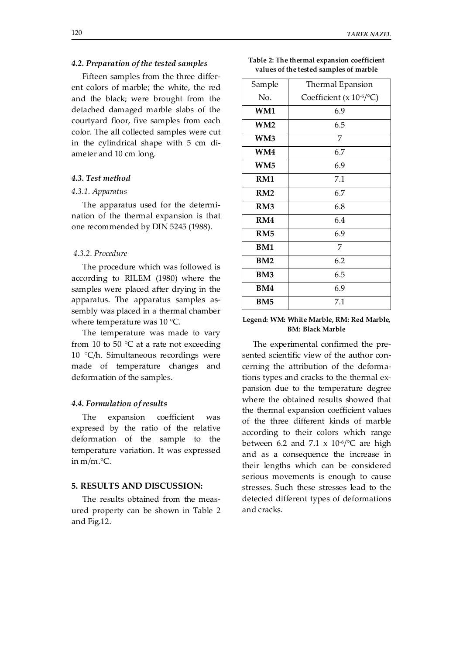## *4.2. Preparation of the tested samples*

Fifteen samples from the three different colors of marble; the white, the red and the black; were brought from the detached damaged marble slabs of the courtyard floor, five samples from each color. The all collected samples were cut in the cylindrical shape with 5 cm diameter and 10 cm long.

#### *4.3. Test method*

## *4.3.1. Apparatus*

The apparatus used for the determination of the thermal expansion is that one recommended by DIN 5245 (1988).

#### *4.3.2. Procedure*

The procedure which was followed is according to RILEM (1980) where the samples were placed after drying in the apparatus. The apparatus samples assembly was placed in a thermal chamber where temperature was 10 °C.

The temperature was made to vary from 10 to 50  $^{\circ}$ C at a rate not exceeding 10 °C/h. Simultaneous recordings were made of temperature changes and deformation of the samples.

#### *4.4. Formulation of results*

The expansion coefficient was expresed by the ratio of the relative deformation of the sample to the temperature variation. It was expressed in m/m.°C.

## **5. RESULTS AND DISCUSSION:**

The results obtained from the measured property can be shown in Table 2 and Fig.12.

| Table 2: The thermal expansion coefficient |  |
|--------------------------------------------|--|
| values of the tested samples of marble     |  |

| Sample          | Thermal Epansion                     |  |  |
|-----------------|--------------------------------------|--|--|
| No.             | Coefficient (x 10 <sup>-6</sup> /°C) |  |  |
| WM1             | 6.9                                  |  |  |
| WM <sub>2</sub> | 6.5                                  |  |  |
| WM3             | 7                                    |  |  |
| WM4             | 6.7                                  |  |  |
| WM <sub>5</sub> | 6.9                                  |  |  |
| RM1             | 7.1                                  |  |  |
| RM <sub>2</sub> | 6.7                                  |  |  |
| RM3             | 6.8                                  |  |  |
| RM4             | 6.4                                  |  |  |
| RM <sub>5</sub> | 6.9                                  |  |  |
| <b>BM1</b>      | 7                                    |  |  |
| BM2             | 6.2                                  |  |  |
| BM <sub>3</sub> | 6.5                                  |  |  |
| BM4             | 6.9                                  |  |  |
| BM5             | 7.1                                  |  |  |

## **Legend: WM: White Marble, RM: Red Marble, BM: Black Marble**

The experimental confirmed the presented scientific view of the author concerning the attribution of the deformations types and cracks to the thermal expansion due to the temperature degree where the obtained results showed that the thermal expansion coefficient values of the three different kinds of marble according to their colors which range between 6.2 and 7.1 x  $10^{-6}$ °C are high and as a consequence the increase in their lengths which can be considered serious movements is enough to cause stresses. Such these stresses lead to the detected different types of deformations and cracks.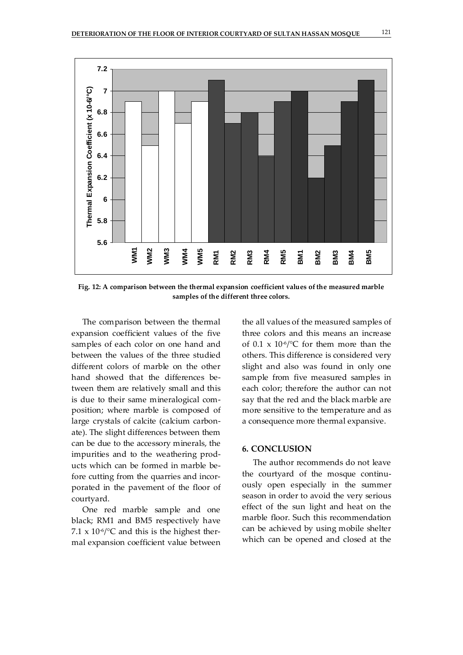

**Fig. 12: A comparison between the thermal expansion coefficient values of the measured marble samples of the different three colors.** 

The comparison between the thermal expansion coefficient values of the five samples of each color on one hand and between the values of the three studied different colors of marble on the other hand showed that the differences between them are relatively small and this is due to their same mineralogical composition; where marble is composed of large crystals of calcite (calcium carbonate). The slight differences between them can be due to the accessory minerals, the impurities and to the weathering products which can be formed in marble before cutting from the quarries and incorporated in the pavement of the floor of courtyard.

One red marble sample and one black; RM1 and BM5 respectively have 7.1 x  $10^{-6}$  /°C and this is the highest thermal expansion coefficient value between the all values of the measured samples of three colors and this means an increase of 0.1 x  $10^{-6}$  /°C for them more than the others. This difference is considered very slight and also was found in only one sample from five measured samples in each color; therefore the author can not say that the red and the black marble are more sensitive to the temperature and as a consequence more thermal expansive.

## **6. CONCLUSION**

The author recommends do not leave the courtyard of the mosque continuously open especially in the summer season in order to avoid the very serious effect of the sun light and heat on the marble floor. Such this recommendation can be achieved by using mobile shelter which can be opened and closed at the